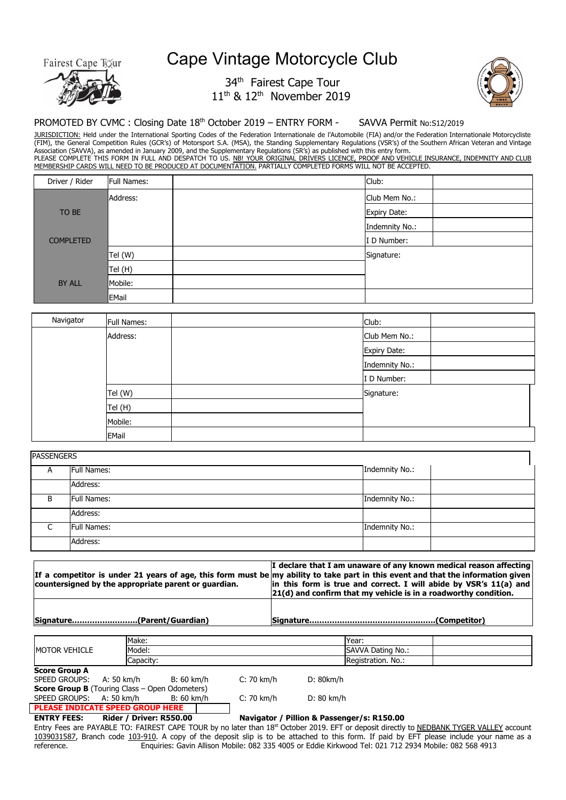Fairest Cape Toxur



## Cape Vintage Motorcycle Club

## 34<sup>th</sup> Fairest Cape Tour  $11<sup>th</sup>$  &  $12<sup>th</sup>$  November 2019



## PROMOTED BY CVMC : Closing Date 18<sup>th</sup> October 2019 – ENTRY FORM - SAVVA Permit No:S12/2019

JURISDICTION: Held under the International Sporting Codes of the Federation Internationale de l'Automobile (FIA) and/or the Federation Internationale Motorcycliste (FIM), the General Competition Rules (GCR's) of Motorsport S.A. (MSA), the Standing Supplementary Regulations (VSR's) of the Southern African Veteran and Vintage Association (SAVVA), as amended in January 2009, and the Supplementary Regulations (SR's) as published with this entry form. PLEASE COMPLETE THIS FORM IN FULL AND DESPATCH TO US. <u>NB! YOUR ORIGINAL DRIVERS LICENCE, PROOF AND VEHICLE INSURANCE, INDEMNITY AND CLUB</u>

MEMBERSHIP CARDS WILL NEED TO BE PRODUCED AT DOCUMENTATION. PARTIALLY COMPLETED FORMS WILL NOT BE ACCEPTED.

| Driver / Rider   | Full Names:  | Club:          |
|------------------|--------------|----------------|
|                  | Address:     | Club Mem No.:  |
| TO BE            |              | Expiry Date:   |
|                  |              | Indemnity No.: |
| <b>COMPLETED</b> |              | I D Number:    |
|                  | Tel (W)      | Signature:     |
|                  | Tel (H)      |                |
| BY ALL           | Mobile:      |                |
|                  | <b>EMail</b> |                |

| Navigator | <b>Full Names:</b> | Club:          |  |
|-----------|--------------------|----------------|--|
|           | Address:           | Club Mem No.:  |  |
|           |                    | Expiry Date:   |  |
|           |                    | Indemnity No.: |  |
|           |                    | I D Number:    |  |
|           | Tel (W)            | Signature:     |  |
|           | Tel (H)            |                |  |
|           | Mobile:            |                |  |
|           | <b>EMail</b>       |                |  |

| <b>PASSENGERS</b> |                    |                |  |
|-------------------|--------------------|----------------|--|
| $\overline{A}$    | <b>Full Names:</b> | Indemnity No.: |  |
|                   | Address:           |                |  |
| -B                | <b>Full Names:</b> | Indemnity No.: |  |
|                   | Address:           |                |  |
|                   | <b>Full Names:</b> | Indemnity No.: |  |
|                   | Address:           |                |  |

| countersigned by the appropriate parent or quardian. | I declare that I am unaware of any known medical reason affecting<br>If a competitor is under 21 years of age, this form must be my ability to take part in this event and that the information given<br>in this form is true and correct. I will abide by VSR's 11(a) and<br>$ 21(d)$ and confirm that my vehicle is in a roadworthy condition. |
|------------------------------------------------------|--------------------------------------------------------------------------------------------------------------------------------------------------------------------------------------------------------------------------------------------------------------------------------------------------------------------------------------------------|
|                                                      |                                                                                                                                                                                                                                                                                                                                                  |

**Signature…………….……….(Parent/Guardian) Signature…………………………………….…….(Competitor)**

|                                                       | Make:      |            | Year:              |  |
|-------------------------------------------------------|------------|------------|--------------------|--|
| <b>IMOTOR VEHICLE</b>                                 | Model:     |            | SAVVA Dating No.:  |  |
|                                                       | Capacity:  |            | Registration. No.: |  |
| <b>Score Group A</b>                                  |            |            |                    |  |
| SPEED GROUPS:<br>A: 50 km/h                           | B: 60 km/h | C: 70 km/h | D: 80km/h          |  |
| <b>Score Group B</b> (Touring Class – Open Odometers) |            |            |                    |  |
| SPEED GROUPS: A: 50 km/h                              | B: 60 km/h | C: 70 km/h | D: 80 km/h         |  |
| <b>PLEASE INDICATE SPEED GROUP HERE</b>               |            |            |                    |  |

**ENTRY FEES: Rider / Driver: R550.00 Navigator / Pillion & Passenger/s: R150.00**

Entry Fees are PAYABLE TO: FAIREST CAPE TOUR by no later than 18<sup>st</sup> October 2019. EFT or deposit directly to NEDBANK TYGER VALLEY account 1039031587, Branch code 103-910. A copy of the deposit slip is to be attached to this form. If paid by EFT please include your name as a reference. Enquiries: Gavin Allison Mobile: 082 335 4005 or Eddie Kirkwood Tel: 021 712 2934 Mobile: 082 568 4913